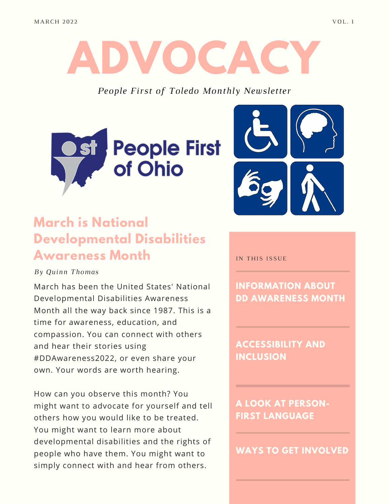# **ADVOCA**

*People First of Toledo Monthly Newsletter*





### **March is National Developmental Disabilities Awareness Month**

*By Quinn Thomas*

March has been the United States' National Developmental Disabilities Awareness Month all the way back since 1987. This is a time for awareness, education, and compassion. You can connect with others and hear their stories using #DDAwareness2022, or even share your own. Your words are worth hearing.

How can you observe this month? You might want to advocate for yourself and tell others how you would like to be treated. You might want to learn more about developmental disabilities and the rights of people who have them. You might want to simply connect with and hear from others.

IN THIS ISSUE

**INFORMATION ABOUT DD AWARENESS MONTH**

**ACCESSIBILITY AND INCLUSION**

**A LOOK AT PERSON-FIRST LANGUAGE**

**WAYS TO GET INVOLVED**